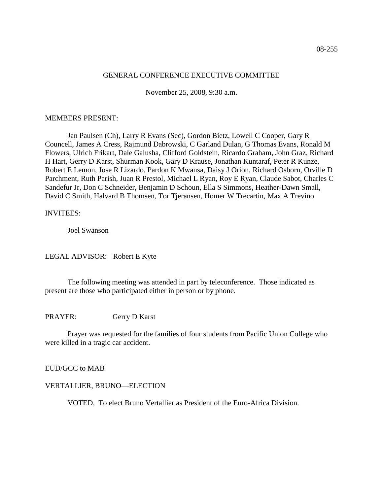#### GENERAL CONFERENCE EXECUTIVE COMMITTEE

November 25, 2008, 9:30 a.m.

#### MEMBERS PRESENT:

Jan Paulsen (Ch), Larry R Evans (Sec), Gordon Bietz, Lowell C Cooper, Gary R Councell, James A Cress, Rajmund Dabrowski, C Garland Dulan, G Thomas Evans, Ronald M Flowers, Ulrich Frikart, Dale Galusha, Clifford Goldstein, Ricardo Graham, John Graz, Richard H Hart, Gerry D Karst, Shurman Kook, Gary D Krause, Jonathan Kuntaraf, Peter R Kunze, Robert E Lemon, Jose R Lizardo, Pardon K Mwansa, Daisy J Orion, Richard Osborn, Orville D Parchment, Ruth Parish, Juan R Prestol, Michael L Ryan, Roy E Ryan, Claude Sabot, Charles C Sandefur Jr, Don C Schneider, Benjamin D Schoun, Ella S Simmons, Heather-Dawn Small, David C Smith, Halvard B Thomsen, Tor Tjeransen, Homer W Trecartin, Max A Trevino

#### INVITEES:

Joel Swanson

LEGAL ADVISOR: Robert E Kyte

The following meeting was attended in part by teleconference. Those indicated as present are those who participated either in person or by phone.

PRAYER: Gerry D Karst

Prayer was requested for the families of four students from Pacific Union College who were killed in a tragic car accident.

EUD/GCC to MAB

#### VERTALLIER, BRUNO—ELECTION

VOTED, To elect Bruno Vertallier as President of the Euro-Africa Division.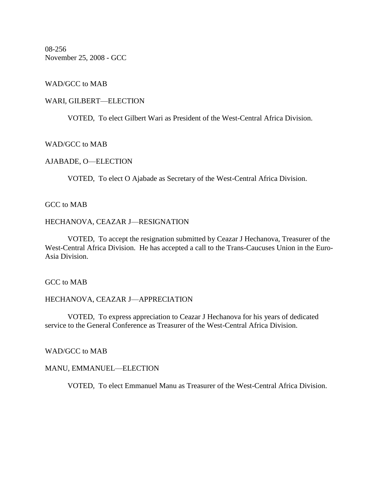08-256 November 25, 2008 - GCC

## WAD/GCC to MAB

#### WARI, GILBERT—ELECTION

VOTED, To elect Gilbert Wari as President of the West-Central Africa Division.

### WAD/GCC to MAB

## AJABADE, O—ELECTION

VOTED, To elect O Ajabade as Secretary of the West-Central Africa Division.

## GCC to MAB

#### HECHANOVA, CEAZAR J—RESIGNATION

VOTED, To accept the resignation submitted by Ceazar J Hechanova, Treasurer of the West-Central Africa Division. He has accepted a call to the Trans-Caucuses Union in the Euro-Asia Division.

GCC to MAB

## HECHANOVA, CEAZAR J—APPRECIATION

VOTED, To express appreciation to Ceazar J Hechanova for his years of dedicated service to the General Conference as Treasurer of the West-Central Africa Division.

## WAD/GCC to MAB

#### MANU, EMMANUEL—ELECTION

VOTED, To elect Emmanuel Manu as Treasurer of the West-Central Africa Division.